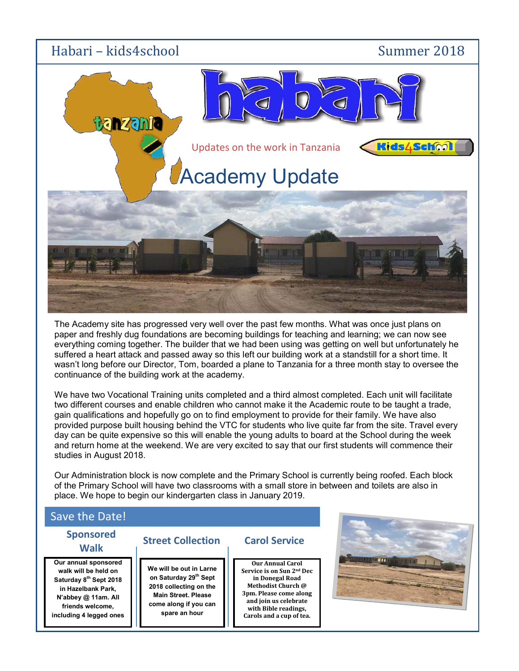

The Academy site has progressed very well over the past few months. What was once just plans on paper and freshly dug foundations are becoming buildings for teaching and learning; we can now see everything coming together. The builder that we had been using was getting on well but unfortunately he suffered a heart attack and passed away so this left our building work at a standstill for a short time. It wasn't long before our Director, Tom, boarded a plane to Tanzania for a three month stay to oversee the continuance of the building work at the academy.

We have two Vocational Training units completed and a third almost completed. Each unit will facilitate two different courses and enable children who cannot make it the Academic route to be taught a trade, gain qualifications and hopefully go on to find employment to provide for their family. We have also provided purpose built housing behind the VTC for students who live quite far from the site. Travel every day can be quite expensive so this will enable the young adults to board at the School during the week and return home at the weekend. We are very excited to say that our first students will commence their studies in August 2018.

Our Administration block is now complete and the Primary School is currently being roofed. Each block of the Primary School will have two classrooms with a small store in between and toilets are also in place. We hope to begin our kindergarten class in January 2019.

### Save the Date!

# Sponsored

Our annual sponsored walk will be held on Saturday 8<sup>th</sup> Sept 2018 in Hazelbank Park, N'abbey @ 11am. All friends welcome, including 4 legged ones

## **Walk** Street Collection C

We will be out in Larne on Saturday 29<sup>th</sup> Sept 2018 collecting on the Main Street. Please come along if you can spare an hour

### Carol Service

Carols and a cup of tea. Our Annual Carol Service is on Sun 2nd Dec in Donegal Road Methodist Church @ 3pm. Please come along and join us celebrate with Bible readings,

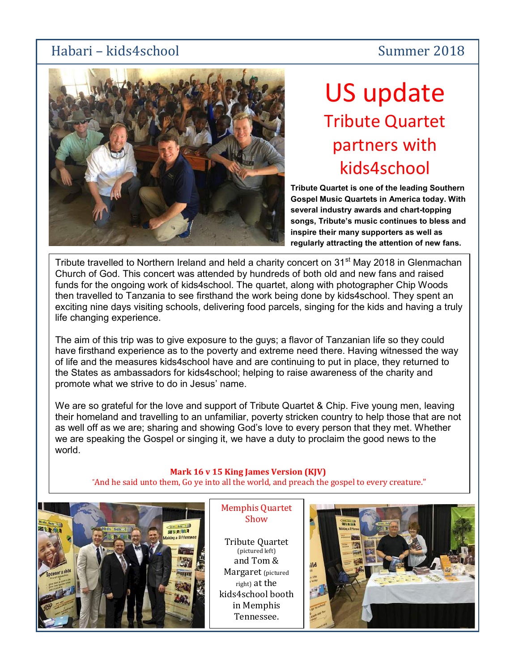# Habari – kids4school Summer 2018



# US update Tribute Quartet partners with kids4school

Tribute Quartet is one of the leading Southern Gospel Music Quartets in America today. With several industry awards and chart-topping songs, Tribute's music continues to bless and inspire their many supporters as well as regularly attracting the attention of new fans.

Tribute travelled to Northern Ireland and held a charity concert on 31<sup>st</sup> May 2018 in Glenmachan Church of God. This concert was attended by hundreds of both old and new fans and raised funds for the ongoing work of kids4school. The quartet, along with photographer Chip Woods then travelled to Tanzania to see firsthand the work being done by kids4school. They spent an exciting nine days visiting schools, delivering food parcels, singing for the kids and having a truly life changing experience.

The aim of this trip was to give exposure to the guys; a flavor of Tanzanian life so they could have firsthand experience as to the poverty and extreme need there. Having witnessed the way of life and the measures kids4school have and are continuing to put in place, they returned to the States as ambassadors for kids4school; helping to raise awareness of the charity and promote what we strive to do in Jesus' name.

We are so grateful for the love and support of Tribute Quartet & Chip. Five young men, leaving their homeland and travelling to an unfamiliar, poverty stricken country to help those that are not as well off as we are; sharing and showing God's love to every person that they met. Whether we are speaking the Gospel or singing it, we have a duty to proclaim the good news to the world.

### Mark 16 v 15 King James Version (KJV)

"And he said unto them, Go ye into all the world, and preach the gospel to every creature."



Memphis Quartet Show

Tennessee. Tribute Quartet (pictured left) and Tom & Margaret (pictured right) at the kids4school booth in Memphis

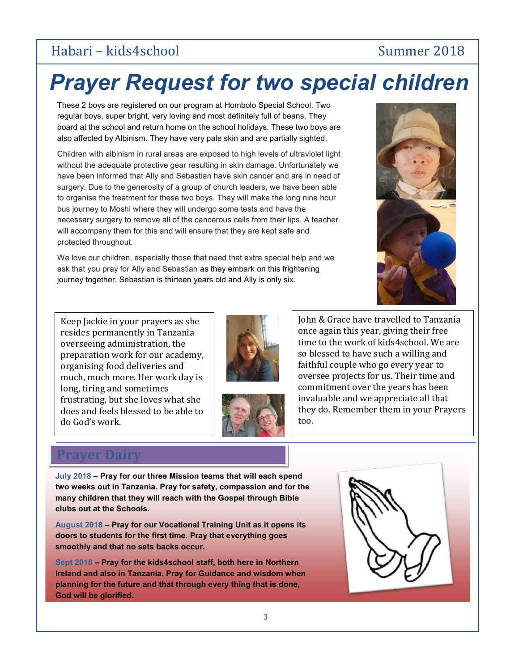# Habari – kids4school Summer 2018

# Prayer Request for two special children

 These 2 boys are registered on our program at Hombolo Special School. Two regular boys, super bright, very loving and most definitely full of beans. They board at the school and return home on the school holidays. These two boys are also affected by Albinism. They have very pale skin and are partially sighted.

Children with albinism in rural areas are exposed to high levels of ultraviolet light without the adequate protective gear resulting in skin damage. Unfortunately we have been informed that Ally and Sebastian have skin cancer and are in need of surgery. Due to the generosity of a group of church leaders, we have been able to organise the treatment for these two boys. They will make the long nine hour bus journey to Moshi where they will undergo some tests and have the necessary surgery to remove all of the cancerous cells from their lips. A teacher will accompany them for this and will ensure that they are kept safe and protected throughout.

We love our children, especially those that need that extra special help and we ask that you pray for Ally and Sebastian as they embark on this frightening journey together. Sebastian is thirteen years old and Ally is only six.



Keep Jackie in your prayers as she resides permanently in Tanzania overseeing administration, the preparation work for our academy, organising food deliveries and much, much more. Her work day is long, tiring and sometimes frustrating, but she loves what she does and feels blessed to be able to do God's work.





John & Grace have travelled to Tanzania once again this year, giving their free time to the work of kids4school. We are so blessed to have such a willing and faithful couple who go every year to oversee projects for us. Their time and commitment over the years has been invaluable and we appreciate all that they do. Remember them in your Prayers too.

## ver Dairy

July 2018 – Pray for our three Mission teams that will each spend two weeks out in Tanzania. Pray for safety, compassion and for the many children that they will reach with the Gospel through Bible clubs out at the Schools.

August 2018 – Pray for our Vocational Training Unit as it opens its doors to students for the first time. Pray that everything goes smoothly and that no sets backs occur.

Sept 2018 – Pray for the kids4school staff, both here in Northern Ireland and also in Tanzania. Pray for Guidance and wisdom when planning for the future and that through every thing that is done, God will be glorified.